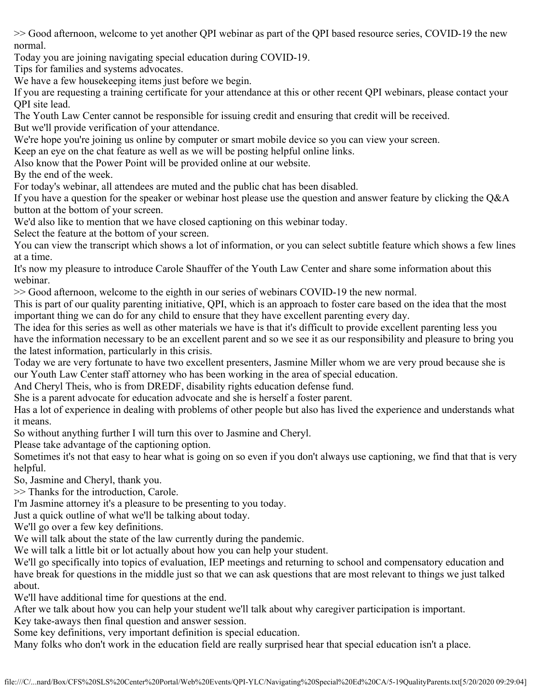>> Good afternoon, welcome to yet another QPI webinar as part of the QPI based resource series, COVID-19 the new normal.

Today you are joining navigating special education during COVID-19.

Tips for families and systems advocates.

We have a few housekeeping items just before we begin.

If you are requesting a training certificate for your attendance at this or other recent QPI webinars, please contact your QPI site lead.

The Youth Law Center cannot be responsible for issuing credit and ensuring that credit will be received.

But we'll provide verification of your attendance.

We're hope you're joining us online by computer or smart mobile device so you can view your screen.

Keep an eye on the chat feature as well as we will be posting helpful online links.

Also know that the Power Point will be provided online at our website.

By the end of the week.

For today's webinar, all attendees are muted and the public chat has been disabled.

If you have a question for the speaker or webinar host please use the question and answer feature by clicking the Q&A button at the bottom of your screen.

We'd also like to mention that we have closed captioning on this webinar today.

Select the feature at the bottom of your screen.

You can view the transcript which shows a lot of information, or you can select subtitle feature which shows a few lines at a time.

It's now my pleasure to introduce Carole Shauffer of the Youth Law Center and share some information about this webinar.

>> Good afternoon, welcome to the eighth in our series of webinars COVID-19 the new normal.

This is part of our quality parenting initiative, QPI, which is an approach to foster care based on the idea that the most important thing we can do for any child to ensure that they have excellent parenting every day.

The idea for this series as well as other materials we have is that it's difficult to provide excellent parenting less you have the information necessary to be an excellent parent and so we see it as our responsibility and pleasure to bring you the latest information, particularly in this crisis.

Today we are very fortunate to have two excellent presenters, Jasmine Miller whom we are very proud because she is our Youth Law Center staff attorney who has been working in the area of special education.

And Cheryl Theis, who is from DREDF, disability rights education defense fund.

She is a parent advocate for education advocate and she is herself a foster parent.

Has a lot of experience in dealing with problems of other people but also has lived the experience and understands what it means.

So without anything further I will turn this over to Jasmine and Cheryl.

Please take advantage of the captioning option.

Sometimes it's not that easy to hear what is going on so even if you don't always use captioning, we find that that is very helpful.

So, Jasmine and Cheryl, thank you.

>> Thanks for the introduction, Carole.

I'm Jasmine attorney it's a pleasure to be presenting to you today.

Just a quick outline of what we'll be talking about today.

We'll go over a few key definitions.

We will talk about the state of the law currently during the pandemic.

We will talk a little bit or lot actually about how you can help your student.

We'll go specifically into topics of evaluation, IEP meetings and returning to school and compensatory education and have break for questions in the middle just so that we can ask questions that are most relevant to things we just talked about.

We'll have additional time for questions at the end.

After we talk about how you can help your student we'll talk about why caregiver participation is important.

Key take-aways then final question and answer session.

Some key definitions, very important definition is special education.

Many folks who don't work in the education field are really surprised hear that special education isn't a place.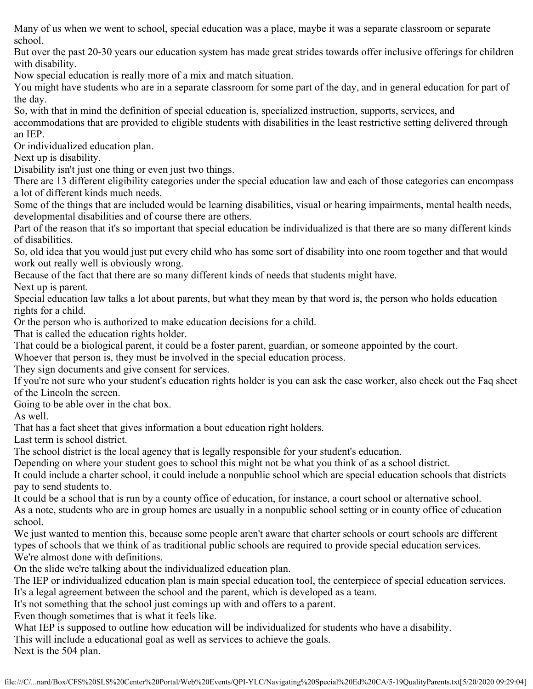Many of us when we went to school, special education was a place, maybe it was a separate classroom or separate school.

But over the past 20-30 years our education system has made great strides towards offer inclusive offerings for children with disability.

Now special education is really more of a mix and match situation.

You might have students who are in a separate classroom for some part of the day, and in general education for part of the day.

So, with that in mind the definition of special education is, specialized instruction, supports, services, and accommodations that are provided to eligible students with disabilities in the least restrictive setting delivered through an IEP.

Or individualized education plan.

Next up is disability.

Disability isn't just one thing or even just two things.

There are 13 different eligibility categories under the special education law and each of those categories can encompass a lot of different kinds much needs.

Some of the things that are included would be learning disabilities, visual or hearing impairments, mental health needs, developmental disabilities and of course there are others.

Part of the reason that it's so important that special education be individualized is that there are so many different kinds of disabilities.

So, old idea that you would just put every child who has some sort of disability into one room together and that would work out really well is obviously wrong.

Because of the fact that there are so many different kinds of needs that students might have.

Next up is parent.

Special education law talks a lot about parents, but what they mean by that word is, the person who holds education rights for a child.

Or the person who is authorized to make education decisions for a child.

That is called the education rights holder.

That could be a biological parent, it could be a foster parent, guardian, or someone appointed by the court.

Whoever that person is, they must be involved in the special education process.

They sign documents and give consent for services.

If you're not sure who your student's education rights holder is you can ask the case worker, also check out the Faq sheet of the Lincoln the screen.

Going to be able over in the chat box.

As well.

That has a fact sheet that gives information a bout education right holders.

Last term is school district.

The school district is the local agency that is legally responsible for your student's education.

Depending on where your student goes to school this might not be what you think of as a school district.

It could include a charter school, it could include a nonpublic school which are special education schools that districts pay to send students to.

It could be a school that is run by a county office of education, for instance, a court school or alternative school. As a note, students who are in group homes are usually in a nonpublic school setting or in county office of education

school.

We just wanted to mention this, because some people aren't aware that charter schools or court schools are different types of schools that we think of as traditional public schools are required to provide special education services. We're almost done with definitions.

On the slide we're talking about the individualized education plan.

The IEP or individualized education plan is main special education tool, the centerpiece of special education services. It's a legal agreement between the school and the parent, which is developed as a team.

It's not something that the school just comings up with and offers to a parent.

Even though sometimes that is what it feels like.

What IEP is supposed to outline how education will be individualized for students who have a disability.

This will include a educational goal as well as services to achieve the goals.

Next is the 504 plan.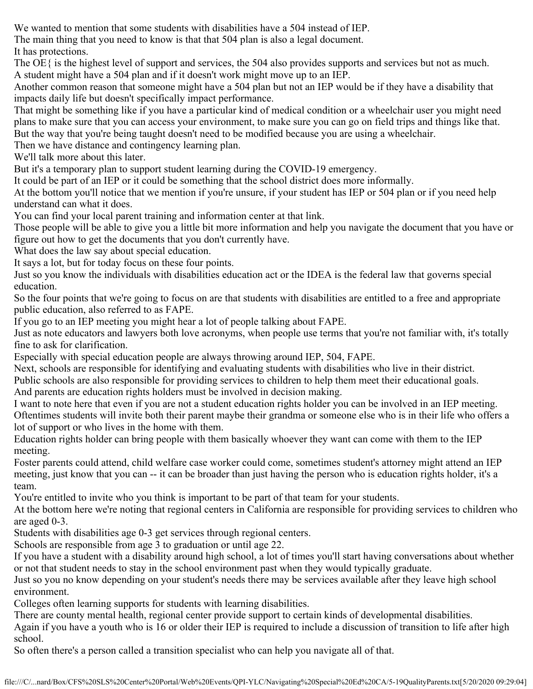We wanted to mention that some students with disabilities have a 504 instead of IEP.

The main thing that you need to know is that that 504 plan is also a legal document.

It has protections.

The OE  $\{$  is the highest level of support and services, the 504 also provides supports and services but not as much. A student might have a 504 plan and if it doesn't work might move up to an IEP.

Another common reason that someone might have a 504 plan but not an IEP would be if they have a disability that impacts daily life but doesn't specifically impact performance.

That might be something like if you have a particular kind of medical condition or a wheelchair user you might need plans to make sure that you can access your environment, to make sure you can go on field trips and things like that. But the way that you're being taught doesn't need to be modified because you are using a wheelchair.

Then we have distance and contingency learning plan.

We'll talk more about this later.

But it's a temporary plan to support student learning during the COVID-19 emergency.

It could be part of an IEP or it could be something that the school district does more informally.

At the bottom you'll notice that we mention if you're unsure, if your student has IEP or 504 plan or if you need help understand can what it does.

You can find your local parent training and information center at that link.

Those people will be able to give you a little bit more information and help you navigate the document that you have or figure out how to get the documents that you don't currently have.

What does the law say about special education.

It says a lot, but for today focus on these four points.

Just so you know the individuals with disabilities education act or the IDEA is the federal law that governs special education.

So the four points that we're going to focus on are that students with disabilities are entitled to a free and appropriate public education, also referred to as FAPE.

If you go to an IEP meeting you might hear a lot of people talking about FAPE.

Just as note educators and lawyers both love acronyms, when people use terms that you're not familiar with, it's totally fine to ask for clarification.

Especially with special education people are always throwing around IEP, 504, FAPE.

Next, schools are responsible for identifying and evaluating students with disabilities who live in their district.

Public schools are also responsible for providing services to children to help them meet their educational goals.

And parents are education rights holders must be involved in decision making.

I want to note here that even if you are not a student education rights holder you can be involved in an IEP meeting. Oftentimes students will invite both their parent maybe their grandma or someone else who is in their life who offers a lot of support or who lives in the home with them.

Education rights holder can bring people with them basically whoever they want can come with them to the IEP meeting.

Foster parents could attend, child welfare case worker could come, sometimes student's attorney might attend an IEP meeting, just know that you can -- it can be broader than just having the person who is education rights holder, it's a team.

You're entitled to invite who you think is important to be part of that team for your students.

At the bottom here we're noting that regional centers in California are responsible for providing services to children who are aged 0-3.

Students with disabilities age 0-3 get services through regional centers.

Schools are responsible from age 3 to graduation or until age 22.

If you have a student with a disability around high school, a lot of times you'll start having conversations about whether or not that student needs to stay in the school environment past when they would typically graduate.

Just so you no know depending on your student's needs there may be services available after they leave high school environment.

Colleges often learning supports for students with learning disabilities.

There are county mental health, regional center provide support to certain kinds of developmental disabilities. Again if you have a youth who is 16 or older their IEP is required to include a discussion of transition to life after high school.

So often there's a person called a transition specialist who can help you navigate all of that.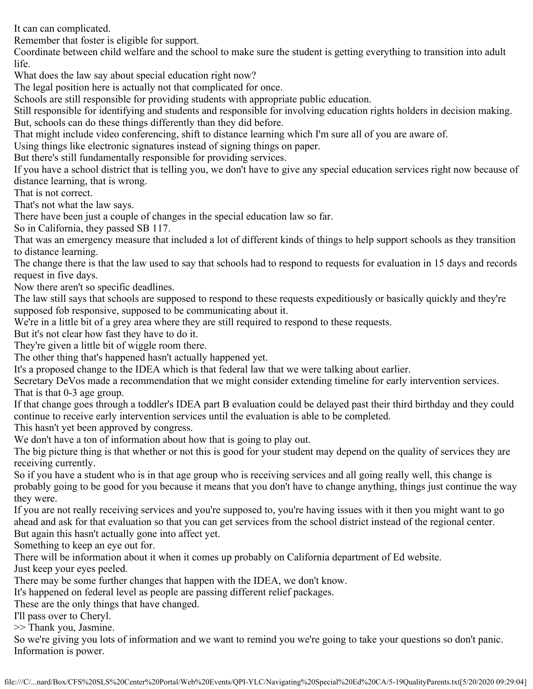It can can complicated.

Remember that foster is eligible for support.

Coordinate between child welfare and the school to make sure the student is getting everything to transition into adult life.

What does the law say about special education right now?

The legal position here is actually not that complicated for once.

Schools are still responsible for providing students with appropriate public education.

Still responsible for identifying and students and responsible for involving education rights holders in decision making. But, schools can do these things differently than they did before.

That might include video conferencing, shift to distance learning which I'm sure all of you are aware of.

Using things like electronic signatures instead of signing things on paper.

But there's still fundamentally responsible for providing services.

If you have a school district that is telling you, we don't have to give any special education services right now because of distance learning, that is wrong.

That is not correct.

That's not what the law says.

There have been just a couple of changes in the special education law so far.

So in California, they passed SB 117.

That was an emergency measure that included a lot of different kinds of things to help support schools as they transition to distance learning.

The change there is that the law used to say that schools had to respond to requests for evaluation in 15 days and records request in five days.

Now there aren't so specific deadlines.

The law still says that schools are supposed to respond to these requests expeditiously or basically quickly and they're supposed fob responsive, supposed to be communicating about it.

We're in a little bit of a grey area where they are still required to respond to these requests.

But it's not clear how fast they have to do it.

They're given a little bit of wiggle room there.

The other thing that's happened hasn't actually happened yet.

It's a proposed change to the IDEA which is that federal law that we were talking about earlier.

Secretary DeVos made a recommendation that we might consider extending timeline for early intervention services. That is that 0-3 age group.

If that change goes through a toddler's IDEA part B evaluation could be delayed past their third birthday and they could continue to receive early intervention services until the evaluation is able to be completed.

This hasn't yet been approved by congress.

We don't have a ton of information about how that is going to play out.

The big picture thing is that whether or not this is good for your student may depend on the quality of services they are receiving currently.

So if you have a student who is in that age group who is receiving services and all going really well, this change is probably going to be good for you because it means that you don't have to change anything, things just continue the way they were.

If you are not really receiving services and you're supposed to, you're having issues with it then you might want to go ahead and ask for that evaluation so that you can get services from the school district instead of the regional center. But again this hasn't actually gone into affect yet.

Something to keep an eye out for.

There will be information about it when it comes up probably on California department of Ed website. Just keep your eyes peeled.

There may be some further changes that happen with the IDEA, we don't know.

It's happened on federal level as people are passing different relief packages.

These are the only things that have changed.

I'll pass over to Cheryl.

>> Thank you, Jasmine.

So we're giving you lots of information and we want to remind you we're going to take your questions so don't panic. Information is power.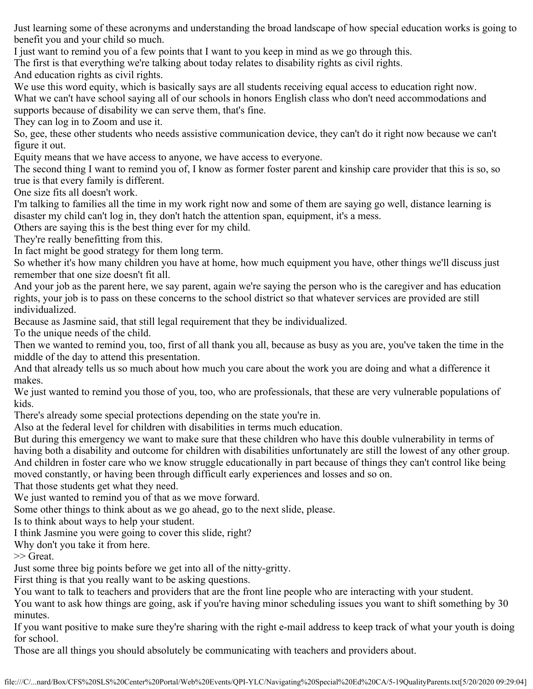Just learning some of these acronyms and understanding the broad landscape of how special education works is going to benefit you and your child so much.

I just want to remind you of a few points that I want to you keep in mind as we go through this.

The first is that everything we're talking about today relates to disability rights as civil rights.

And education rights as civil rights.

We use this word equity, which is basically says are all students receiving equal access to education right now.

What we can't have school saying all of our schools in honors English class who don't need accommodations and supports because of disability we can serve them, that's fine.

They can log in to Zoom and use it.

So, gee, these other students who needs assistive communication device, they can't do it right now because we can't figure it out.

Equity means that we have access to anyone, we have access to everyone.

The second thing I want to remind you of, I know as former foster parent and kinship care provider that this is so, so true is that every family is different.

One size fits all doesn't work.

I'm talking to families all the time in my work right now and some of them are saying go well, distance learning is disaster my child can't log in, they don't hatch the attention span, equipment, it's a mess.

Others are saying this is the best thing ever for my child.

They're really benefitting from this.

In fact might be good strategy for them long term.

So whether it's how many children you have at home, how much equipment you have, other things we'll discuss just remember that one size doesn't fit all.

And your job as the parent here, we say parent, again we're saying the person who is the caregiver and has education rights, your job is to pass on these concerns to the school district so that whatever services are provided are still individualized.

Because as Jasmine said, that still legal requirement that they be individualized.

To the unique needs of the child.

Then we wanted to remind you, too, first of all thank you all, because as busy as you are, you've taken the time in the middle of the day to attend this presentation.

And that already tells us so much about how much you care about the work you are doing and what a difference it makes.

We just wanted to remind you those of you, too, who are professionals, that these are very vulnerable populations of kids.

There's already some special protections depending on the state you're in.

Also at the federal level for children with disabilities in terms much education.

But during this emergency we want to make sure that these children who have this double vulnerability in terms of having both a disability and outcome for children with disabilities unfortunately are still the lowest of any other group. And children in foster care who we know struggle educationally in part because of things they can't control like being moved constantly, or having been through difficult early experiences and losses and so on.

That those students get what they need.

We just wanted to remind you of that as we move forward.

Some other things to think about as we go ahead, go to the next slide, please.

Is to think about ways to help your student.

I think Jasmine you were going to cover this slide, right?

Why don't you take it from here.

>> Great.

Just some three big points before we get into all of the nitty-gritty.

First thing is that you really want to be asking questions.

You want to talk to teachers and providers that are the front line people who are interacting with your student.

You want to ask how things are going, ask if you're having minor scheduling issues you want to shift something by 30 minutes.

If you want positive to make sure they're sharing with the right e-mail address to keep track of what your youth is doing for school.

Those are all things you should absolutely be communicating with teachers and providers about.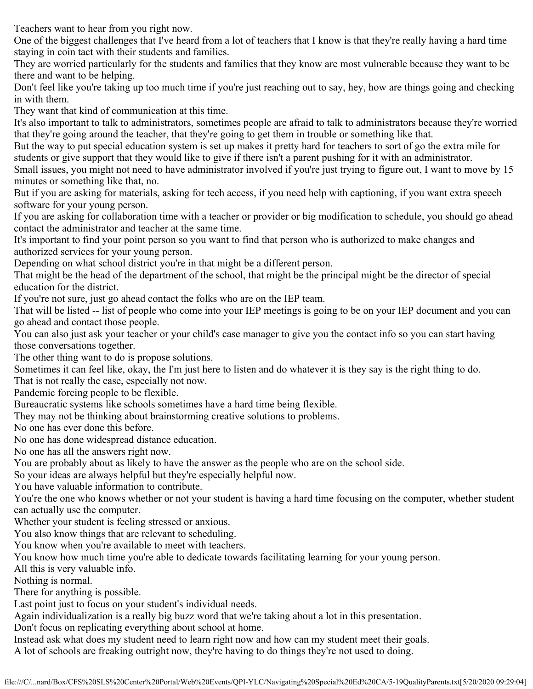Teachers want to hear from you right now.

One of the biggest challenges that I've heard from a lot of teachers that I know is that they're really having a hard time staying in coin tact with their students and families.

They are worried particularly for the students and families that they know are most vulnerable because they want to be there and want to be helping.

Don't feel like you're taking up too much time if you're just reaching out to say, hey, how are things going and checking in with them.

They want that kind of communication at this time.

It's also important to talk to administrators, sometimes people are afraid to talk to administrators because they're worried that they're going around the teacher, that they're going to get them in trouble or something like that.

But the way to put special education system is set up makes it pretty hard for teachers to sort of go the extra mile for students or give support that they would like to give if there isn't a parent pushing for it with an administrator.

Small issues, you might not need to have administrator involved if you're just trying to figure out, I want to move by 15 minutes or something like that, no.

But if you are asking for materials, asking for tech access, if you need help with captioning, if you want extra speech software for your young person.

If you are asking for collaboration time with a teacher or provider or big modification to schedule, you should go ahead contact the administrator and teacher at the same time.

It's important to find your point person so you want to find that person who is authorized to make changes and authorized services for your young person.

Depending on what school district you're in that might be a different person.

That might be the head of the department of the school, that might be the principal might be the director of special education for the district.

If you're not sure, just go ahead contact the folks who are on the IEP team.

That will be listed -- list of people who come into your IEP meetings is going to be on your IEP document and you can go ahead and contact those people.

You can also just ask your teacher or your child's case manager to give you the contact info so you can start having those conversations together.

The other thing want to do is propose solutions.

Sometimes it can feel like, okay, the I'm just here to listen and do whatever it is they say is the right thing to do.

That is not really the case, especially not now.

Pandemic forcing people to be flexible.

Bureaucratic systems like schools sometimes have a hard time being flexible.

They may not be thinking about brainstorming creative solutions to problems.

No one has ever done this before.

No one has done widespread distance education.

No one has all the answers right now.

You are probably about as likely to have the answer as the people who are on the school side.

So your ideas are always helpful but they're especially helpful now.

You have valuable information to contribute.

You're the one who knows whether or not your student is having a hard time focusing on the computer, whether student can actually use the computer.

Whether your student is feeling stressed or anxious.

You also know things that are relevant to scheduling.

You know when you're available to meet with teachers.

You know how much time you're able to dedicate towards facilitating learning for your young person.

All this is very valuable info.

Nothing is normal.

There for anything is possible.

Last point just to focus on your student's individual needs.

Again individualization is a really big buzz word that we're taking about a lot in this presentation.

Don't focus on replicating everything about school at home.

Instead ask what does my student need to learn right now and how can my student meet their goals.

A lot of schools are freaking outright now, they're having to do things they're not used to doing.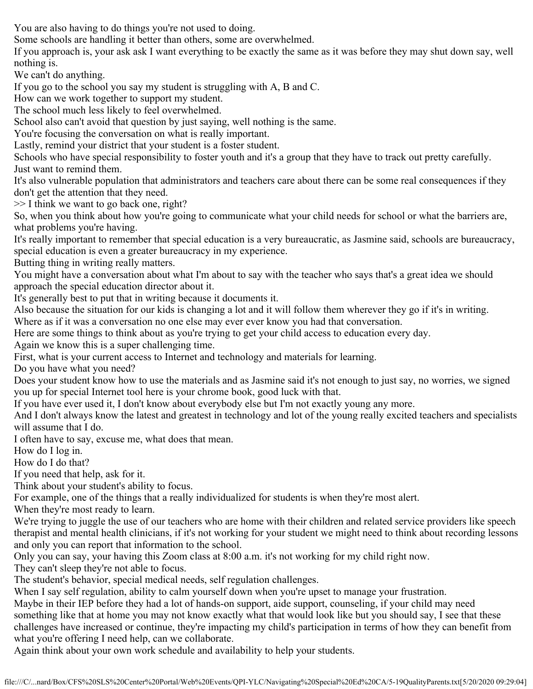You are also having to do things you're not used to doing.

Some schools are handling it better than others, some are overwhelmed.

If you approach is, your ask ask I want everything to be exactly the same as it was before they may shut down say, well nothing is.

We can't do anything.

If you go to the school you say my student is struggling with A, B and C.

How can we work together to support my student.

The school much less likely to feel overwhelmed.

School also can't avoid that question by just saying, well nothing is the same.

You're focusing the conversation on what is really important.

Lastly, remind your district that your student is a foster student.

Schools who have special responsibility to foster youth and it's a group that they have to track out pretty carefully. Just want to remind them.

It's also vulnerable population that administrators and teachers care about there can be some real consequences if they don't get the attention that they need.

>> I think we want to go back one, right?

So, when you think about how you're going to communicate what your child needs for school or what the barriers are, what problems you're having.

It's really important to remember that special education is a very bureaucratic, as Jasmine said, schools are bureaucracy, special education is even a greater bureaucracy in my experience.

Butting thing in writing really matters.

You might have a conversation about what I'm about to say with the teacher who says that's a great idea we should approach the special education director about it.

It's generally best to put that in writing because it documents it.

Also because the situation for our kids is changing a lot and it will follow them wherever they go if it's in writing. Where as if it was a conversation no one else may ever ever know you had that conversation.

Here are some things to think about as you're trying to get your child access to education every day.

Again we know this is a super challenging time.

First, what is your current access to Internet and technology and materials for learning.

Do you have what you need?

Does your student know how to use the materials and as Jasmine said it's not enough to just say, no worries, we signed you up for special Internet tool here is your chrome book, good luck with that.

If you have ever used it, I don't know about everybody else but I'm not exactly young any more.

And I don't always know the latest and greatest in technology and lot of the young really excited teachers and specialists will assume that I do.

I often have to say, excuse me, what does that mean.

How do I log in.

How do I do that?

If you need that help, ask for it.

Think about your student's ability to focus.

For example, one of the things that a really individualized for students is when they're most alert.

When they're most ready to learn.

We're trying to juggle the use of our teachers who are home with their children and related service providers like speech therapist and mental health clinicians, if it's not working for your student we might need to think about recording lessons and only you can report that information to the school.

Only you can say, your having this Zoom class at 8:00 a.m. it's not working for my child right now.

They can't sleep they're not able to focus.

The student's behavior, special medical needs, self regulation challenges.

When I say self regulation, ability to calm yourself down when you're upset to manage your frustration.

Maybe in their IEP before they had a lot of hands-on support, aide support, counseling, if your child may need something like that at home you may not know exactly what that would look like but you should say, I see that these challenges have increased or continue, they're impacting my child's participation in terms of how they can benefit from what you're offering I need help, can we collaborate.

Again think about your own work schedule and availability to help your students.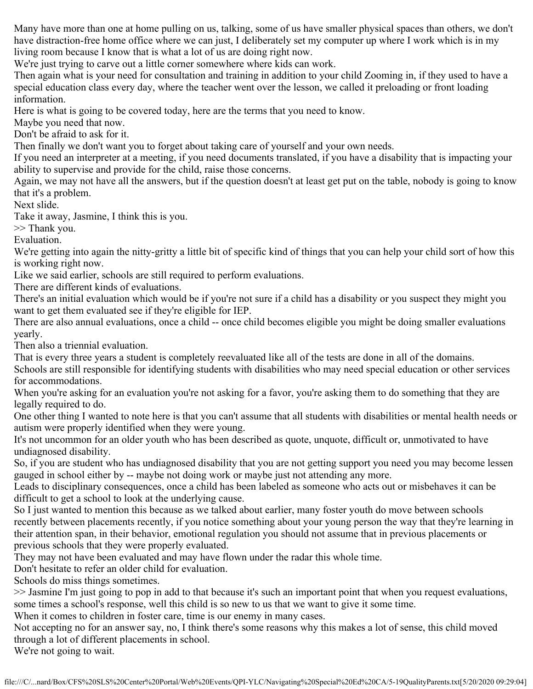Many have more than one at home pulling on us, talking, some of us have smaller physical spaces than others, we don't have distraction-free home office where we can just, I deliberately set my computer up where I work which is in my living room because I know that is what a lot of us are doing right now.

We're just trying to carve out a little corner somewhere where kids can work.

Then again what is your need for consultation and training in addition to your child Zooming in, if they used to have a special education class every day, where the teacher went over the lesson, we called it preloading or front loading information.

Here is what is going to be covered today, here are the terms that you need to know.

Maybe you need that now.

Don't be afraid to ask for it.

Then finally we don't want you to forget about taking care of yourself and your own needs.

If you need an interpreter at a meeting, if you need documents translated, if you have a disability that is impacting your ability to supervise and provide for the child, raise those concerns.

Again, we may not have all the answers, but if the question doesn't at least get put on the table, nobody is going to know that it's a problem.

Next slide.

Take it away, Jasmine, I think this is you.

>> Thank you.

Evaluation.

We're getting into again the nitty-gritty a little bit of specific kind of things that you can help your child sort of how this is working right now.

Like we said earlier, schools are still required to perform evaluations.

There are different kinds of evaluations.

There's an initial evaluation which would be if you're not sure if a child has a disability or you suspect they might you want to get them evaluated see if they're eligible for IEP.

There are also annual evaluations, once a child -- once child becomes eligible you might be doing smaller evaluations yearly.

Then also a triennial evaluation.

That is every three years a student is completely reevaluated like all of the tests are done in all of the domains.

Schools are still responsible for identifying students with disabilities who may need special education or other services for accommodations.

When you're asking for an evaluation you're not asking for a favor, you're asking them to do something that they are legally required to do.

One other thing I wanted to note here is that you can't assume that all students with disabilities or mental health needs or autism were properly identified when they were young.

It's not uncommon for an older youth who has been described as quote, unquote, difficult or, unmotivated to have undiagnosed disability.

So, if you are student who has undiagnosed disability that you are not getting support you need you may become lessen gauged in school either by -- maybe not doing work or maybe just not attending any more.

Leads to disciplinary consequences, once a child has been labeled as someone who acts out or misbehaves it can be difficult to get a school to look at the underlying cause.

So I just wanted to mention this because as we talked about earlier, many foster youth do move between schools recently between placements recently, if you notice something about your young person the way that they're learning in their attention span, in their behavior, emotional regulation you should not assume that in previous placements or previous schools that they were properly evaluated.

They may not have been evaluated and may have flown under the radar this whole time.

Don't hesitate to refer an older child for evaluation.

Schools do miss things sometimes.

>> Jasmine I'm just going to pop in add to that because it's such an important point that when you request evaluations, some times a school's response, well this child is so new to us that we want to give it some time.

When it comes to children in foster care, time is our enemy in many cases.

Not accepting no for an answer say, no, I think there's some reasons why this makes a lot of sense, this child moved through a lot of different placements in school.

We're not going to wait.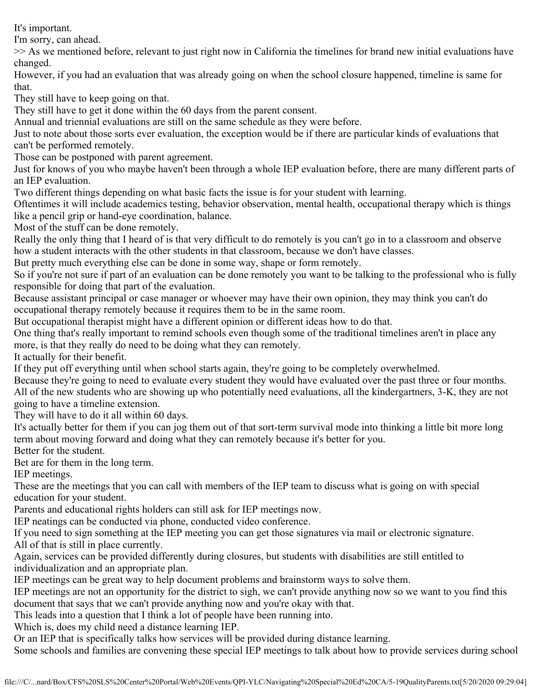It's important.

I'm sorry, can ahead.

>> As we mentioned before, relevant to just right now in California the timelines for brand new initial evaluations have changed.

However, if you had an evaluation that was already going on when the school closure happened, timeline is same for that.

They still have to keep going on that.

They still have to get it done within the 60 days from the parent consent.

Annual and triennial evaluations are still on the same schedule as they were before.

Just to note about those sorts ever evaluation, the exception would be if there are particular kinds of evaluations that can't be performed remotely.

Those can be postponed with parent agreement.

Just for knows of you who maybe haven't been through a whole IEP evaluation before, there are many different parts of an IEP evaluation.

Two different things depending on what basic facts the issue is for your student with learning.

Oftentimes it will include academics testing, behavior observation, mental health, occupational therapy which is things like a pencil grip or hand-eye coordination, balance.

Most of the stuff can be done remotely.

Really the only thing that I heard of is that very difficult to do remotely is you can't go in to a classroom and observe how a student interacts with the other students in that classroom, because we don't have classes.

But pretty much everything else can be done in some way, shape or form remotely.

So if you're not sure if part of an evaluation can be done remotely you want to be talking to the professional who is fully responsible for doing that part of the evaluation.

Because assistant principal or case manager or whoever may have their own opinion, they may think you can't do occupational therapy remotely because it requires them to be in the same room.

But occupational therapist might have a different opinion or different ideas how to do that.

One thing that's really important to remind schools even though some of the traditional timelines aren't in place any more, is that they really do need to be doing what they can remotely.

It actually for their benefit.

If they put off everything until when school starts again, they're going to be completely overwhelmed.

Because they're going to need to evaluate every student they would have evaluated over the past three or four months. All of the new students who are showing up who potentially need evaluations, all the kindergartners, 3-K, they are not going to have a timeline extension.

They will have to do it all within 60 days.

It's actually better for them if you can jog them out of that sort-term survival mode into thinking a little bit more long term about moving forward and doing what they can remotely because it's better for you.

Better for the student.

Bet are for them in the long term.

IEP meetings.

These are the meetings that you can call with members of the IEP team to discuss what is going on with special education for your student.

Parents and educational rights holders can still ask for IEP meetings now.

IEP neatings can be conducted via phone, conducted video conference.

If you need to sign something at the IEP meeting you can get those signatures via mail or electronic signature. All of that is still in place currently.

Again, services can be provided differently during closures, but students with disabilities are still entitled to individualization and an appropriate plan.

IEP meetings can be great way to help document problems and brainstorm ways to solve them.

IEP meetings are not an opportunity for the district to sigh, we can't provide anything now so we want to you find this document that says that we can't provide anything now and you're okay with that.

This leads into a question that I think a lot of people have been running into.

Which is, does my child need a distance learning IEP.

Or an IEP that is specifically talks how services will be provided during distance learning.

Some schools and families are convening these special IEP meetings to talk about how to provide services during school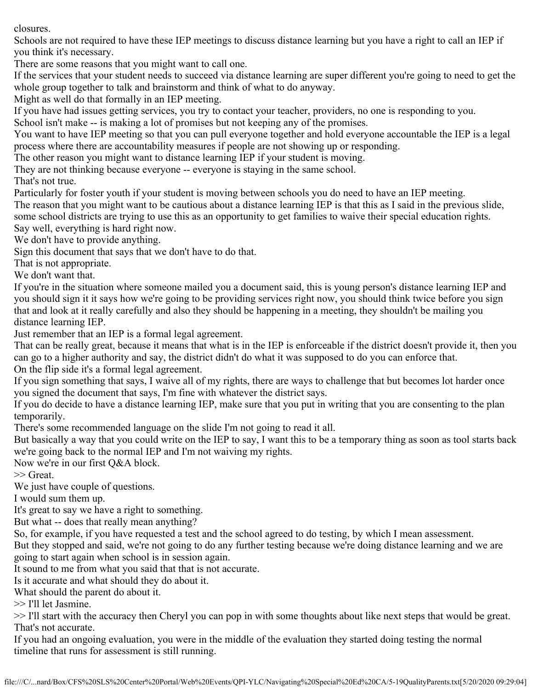closures.

Schools are not required to have these IEP meetings to discuss distance learning but you have a right to call an IEP if you think it's necessary.

There are some reasons that you might want to call one.

If the services that your student needs to succeed via distance learning are super different you're going to need to get the whole group together to talk and brainstorm and think of what to do anyway.

Might as well do that formally in an IEP meeting.

If you have had issues getting services, you try to contact your teacher, providers, no one is responding to you.

School isn't make -- is making a lot of promises but not keeping any of the promises.

You want to have IEP meeting so that you can pull everyone together and hold everyone accountable the IEP is a legal process where there are accountability measures if people are not showing up or responding.

The other reason you might want to distance learning IEP if your student is moving.

They are not thinking because everyone -- everyone is staying in the same school.

That's not true.

Particularly for foster youth if your student is moving between schools you do need to have an IEP meeting.

The reason that you might want to be cautious about a distance learning IEP is that this as I said in the previous slide, some school districts are trying to use this as an opportunity to get families to waive their special education rights. Say well, everything is hard right now.

We don't have to provide anything.

Sign this document that says that we don't have to do that.

That is not appropriate.

We don't want that.

If you're in the situation where someone mailed you a document said, this is young person's distance learning IEP and you should sign it it says how we're going to be providing services right now, you should think twice before you sign that and look at it really carefully and also they should be happening in a meeting, they shouldn't be mailing you distance learning IEP.

Just remember that an IEP is a formal legal agreement.

That can be really great, because it means that what is in the IEP is enforceable if the district doesn't provide it, then you can go to a higher authority and say, the district didn't do what it was supposed to do you can enforce that. On the flip side it's a formal legal agreement.

If you sign something that says, I waive all of my rights, there are ways to challenge that but becomes lot harder once you signed the document that says, I'm fine with whatever the district says.

If you do decide to have a distance learning IEP, make sure that you put in writing that you are consenting to the plan temporarily.

There's some recommended language on the slide I'm not going to read it all.

But basically a way that you could write on the IEP to say, I want this to be a temporary thing as soon as tool starts back we're going back to the normal IEP and I'm not waiving my rights.

Now we're in our first Q&A block.

>> Great.

We just have couple of questions.

I would sum them up.

It's great to say we have a right to something.

But what -- does that really mean anything?

So, for example, if you have requested a test and the school agreed to do testing, by which I mean assessment.

But they stopped and said, we're not going to do any further testing because we're doing distance learning and we are going to start again when school is in session again.

It sound to me from what you said that that is not accurate.

Is it accurate and what should they do about it.

What should the parent do about it.

>> I'll let Jasmine.

>> I'll start with the accuracy then Cheryl you can pop in with some thoughts about like next steps that would be great. That's not accurate.

If you had an ongoing evaluation, you were in the middle of the evaluation they started doing testing the normal timeline that runs for assessment is still running.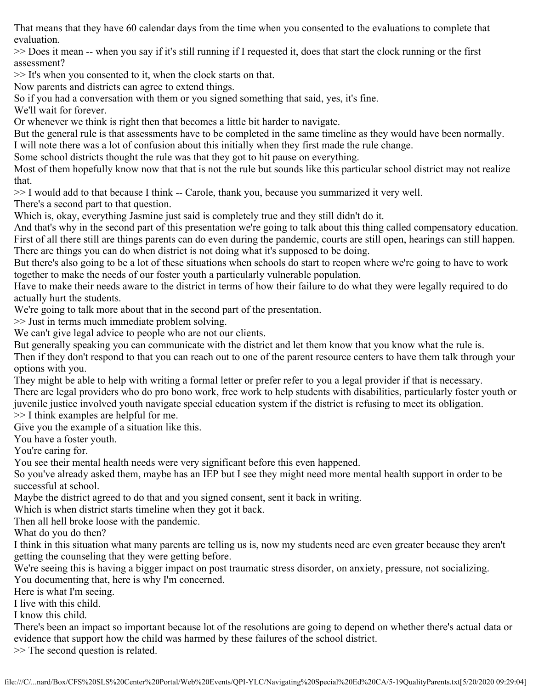That means that they have 60 calendar days from the time when you consented to the evaluations to complete that evaluation.

>> Does it mean -- when you say if it's still running if I requested it, does that start the clock running or the first assessment?

>> It's when you consented to it, when the clock starts on that.

Now parents and districts can agree to extend things.

So if you had a conversation with them or you signed something that said, yes, it's fine.

We'll wait for forever.

Or whenever we think is right then that becomes a little bit harder to navigate.

But the general rule is that assessments have to be completed in the same timeline as they would have been normally.

I will note there was a lot of confusion about this initially when they first made the rule change.

Some school districts thought the rule was that they got to hit pause on everything.

Most of them hopefully know now that that is not the rule but sounds like this particular school district may not realize that.

>> I would add to that because I think -- Carole, thank you, because you summarized it very well.

There's a second part to that question.

Which is, okay, everything Jasmine just said is completely true and they still didn't do it.

And that's why in the second part of this presentation we're going to talk about this thing called compensatory education. First of all there still are things parents can do even during the pandemic, courts are still open, hearings can still happen. There are things you can do when district is not doing what it's supposed to be doing.

But there's also going to be a lot of these situations when schools do start to reopen where we're going to have to work together to make the needs of our foster youth a particularly vulnerable population.

Have to make their needs aware to the district in terms of how their failure to do what they were legally required to do actually hurt the students.

We're going to talk more about that in the second part of the presentation.

>> Just in terms much immediate problem solving.

We can't give legal advice to people who are not our clients.

But generally speaking you can communicate with the district and let them know that you know what the rule is.

Then if they don't respond to that you can reach out to one of the parent resource centers to have them talk through your options with you.

They might be able to help with writing a formal letter or prefer refer to you a legal provider if that is necessary. There are legal providers who do pro bono work, free work to help students with disabilities, particularly foster youth or juvenile justice involved youth navigate special education system if the district is refusing to meet its obligation.

>> I think examples are helpful for me.

Give you the example of a situation like this.

You have a foster youth.

You're caring for.

You see their mental health needs were very significant before this even happened.

So you've already asked them, maybe has an IEP but I see they might need more mental health support in order to be successful at school.

Maybe the district agreed to do that and you signed consent, sent it back in writing.

Which is when district starts timeline when they got it back.

Then all hell broke loose with the pandemic.

What do you do then?

I think in this situation what many parents are telling us is, now my students need are even greater because they aren't getting the counseling that they were getting before.

We're seeing this is having a bigger impact on post traumatic stress disorder, on anxiety, pressure, not socializing. You documenting that, here is why I'm concerned.

Here is what I'm seeing.

I live with this child.

I know this child.

There's been an impact so important because lot of the resolutions are going to depend on whether there's actual data or evidence that support how the child was harmed by these failures of the school district.

>> The second question is related.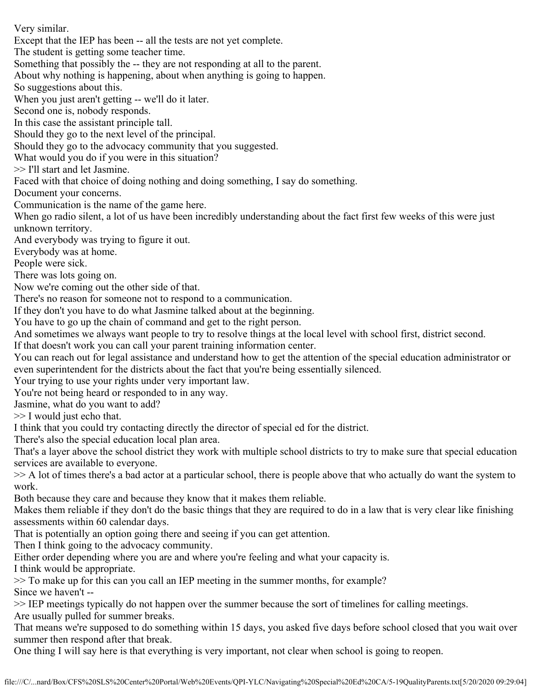Very similar.

Except that the IEP has been -- all the tests are not yet complete.

The student is getting some teacher time.

Something that possibly the -- they are not responding at all to the parent.

About why nothing is happening, about when anything is going to happen.

So suggestions about this.

When you just aren't getting -- we'll do it later.

Second one is, nobody responds.

In this case the assistant principle tall.

Should they go to the next level of the principal.

Should they go to the advocacy community that you suggested.

What would you do if you were in this situation?

>> I'll start and let Jasmine.

Faced with that choice of doing nothing and doing something, I say do something.

Document your concerns.

Communication is the name of the game here.

When go radio silent, a lot of us have been incredibly understanding about the fact first few weeks of this were just unknown territory.

And everybody was trying to figure it out.

Everybody was at home.

People were sick.

There was lots going on.

Now we're coming out the other side of that.

There's no reason for someone not to respond to a communication.

If they don't you have to do what Jasmine talked about at the beginning.

You have to go up the chain of command and get to the right person.

And sometimes we always want people to try to resolve things at the local level with school first, district second.

If that doesn't work you can call your parent training information center.

You can reach out for legal assistance and understand how to get the attention of the special education administrator or even superintendent for the districts about the fact that you're being essentially silenced.

Your trying to use your rights under very important law.

You're not being heard or responded to in any way.

Jasmine, what do you want to add?

>> I would just echo that.

I think that you could try contacting directly the director of special ed for the district.

There's also the special education local plan area.

That's a layer above the school district they work with multiple school districts to try to make sure that special education services are available to everyone.

>> A lot of times there's a bad actor at a particular school, there is people above that who actually do want the system to work.

Both because they care and because they know that it makes them reliable.

Makes them reliable if they don't do the basic things that they are required to do in a law that is very clear like finishing assessments within 60 calendar days.

That is potentially an option going there and seeing if you can get attention.

Then I think going to the advocacy community.

Either order depending where you are and where you're feeling and what your capacity is.

I think would be appropriate.

>> To make up for this can you call an IEP meeting in the summer months, for example? Since we haven't --

>> IEP meetings typically do not happen over the summer because the sort of timelines for calling meetings. Are usually pulled for summer breaks.

That means we're supposed to do something within 15 days, you asked five days before school closed that you wait over summer then respond after that break.

One thing I will say here is that everything is very important, not clear when school is going to reopen.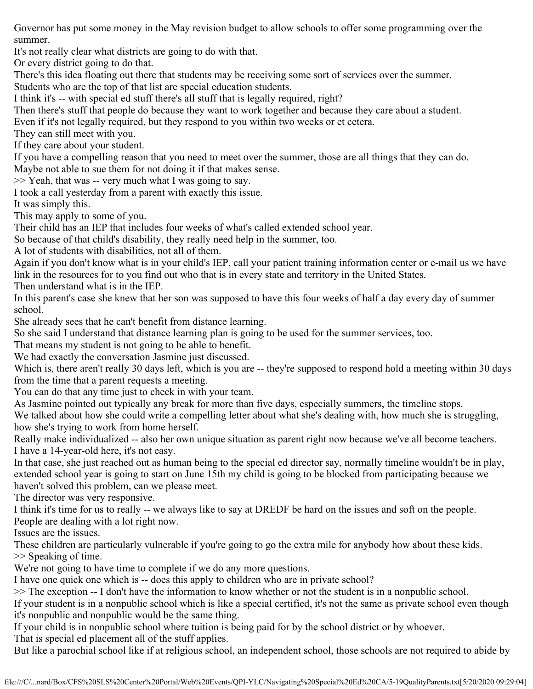Governor has put some money in the May revision budget to allow schools to offer some programming over the summer.

It's not really clear what districts are going to do with that.

Or every district going to do that.

There's this idea floating out there that students may be receiving some sort of services over the summer.

Students who are the top of that list are special education students.

I think it's -- with special ed stuff there's all stuff that is legally required, right?

Then there's stuff that people do because they want to work together and because they care about a student.

Even if it's not legally required, but they respond to you within two weeks or et cetera.

They can still meet with you.

If they care about your student.

If you have a compelling reason that you need to meet over the summer, those are all things that they can do. Maybe not able to sue them for not doing it if that makes sense.

 $>>$  Yeah, that was -- very much what I was going to say.

I took a call yesterday from a parent with exactly this issue.

It was simply this.

This may apply to some of you.

Their child has an IEP that includes four weeks of what's called extended school year.

So because of that child's disability, they really need help in the summer, too.

A lot of students with disabilities, not all of them.

Again if you don't know what is in your child's IEP, call your patient training information center or e-mail us we have link in the resources for to you find out who that is in every state and territory in the United States.

Then understand what is in the IEP.

In this parent's case she knew that her son was supposed to have this four weeks of half a day every day of summer school.

She already sees that he can't benefit from distance learning.

So she said I understand that distance learning plan is going to be used for the summer services, too.

That means my student is not going to be able to benefit.

We had exactly the conversation Jasmine just discussed.

Which is, there aren't really 30 days left, which is you are -- they're supposed to respond hold a meeting within 30 days from the time that a parent requests a meeting.

You can do that any time just to check in with your team.

As Jasmine pointed out typically any break for more than five days, especially summers, the timeline stops.

We talked about how she could write a compelling letter about what she's dealing with, how much she is struggling, how she's trying to work from home herself.

Really make individualized -- also her own unique situation as parent right now because we've all become teachers. I have a 14-year-old here, it's not easy.

In that case, she just reached out as human being to the special ed director say, normally timeline wouldn't be in play, extended school year is going to start on June 15th my child is going to be blocked from participating because we haven't solved this problem, can we please meet.

The director was very responsive.

I think it's time for us to really -- we always like to say at DREDF be hard on the issues and soft on the people.

People are dealing with a lot right now.

Issues are the issues.

These children are particularly vulnerable if you're going to go the extra mile for anybody how about these kids. >> Speaking of time.

We're not going to have time to complete if we do any more questions.

I have one quick one which is -- does this apply to children who are in private school?

>> The exception -- I don't have the information to know whether or not the student is in a nonpublic school.

If your student is in a nonpublic school which is like a special certified, it's not the same as private school even though it's nonpublic and nonpublic would be the same thing.

If your child is in nonpublic school where tuition is being paid for by the school district or by whoever.

That is special ed placement all of the stuff applies.

But like a parochial school like if at religious school, an independent school, those schools are not required to abide by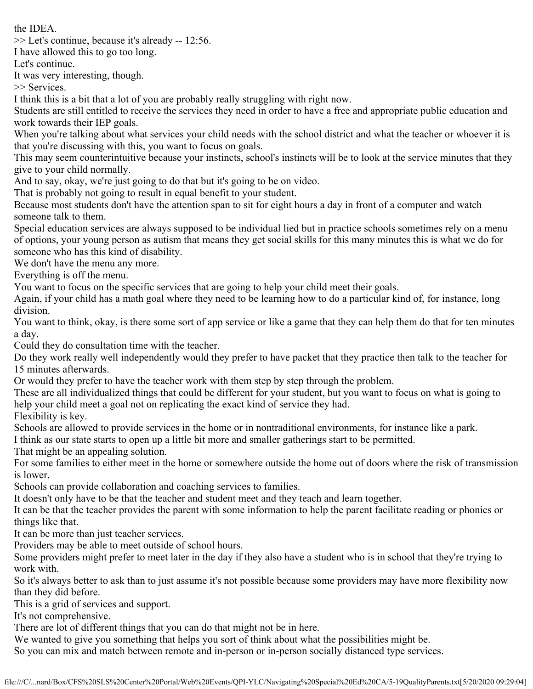the IDEA.

>> Let's continue, because it's already -- 12:56.

I have allowed this to go too long.

Let's continue.

It was very interesting, though.

>> Services.

I think this is a bit that a lot of you are probably really struggling with right now.

Students are still entitled to receive the services they need in order to have a free and appropriate public education and work towards their IEP goals.

When you're talking about what services your child needs with the school district and what the teacher or whoever it is that you're discussing with this, you want to focus on goals.

This may seem counterintuitive because your instincts, school's instincts will be to look at the service minutes that they give to your child normally.

And to say, okay, we're just going to do that but it's going to be on video.

That is probably not going to result in equal benefit to your student.

Because most students don't have the attention span to sit for eight hours a day in front of a computer and watch someone talk to them.

Special education services are always supposed to be individual lied but in practice schools sometimes rely on a menu of options, your young person as autism that means they get social skills for this many minutes this is what we do for someone who has this kind of disability.

We don't have the menu any more.

Everything is off the menu.

You want to focus on the specific services that are going to help your child meet their goals.

Again, if your child has a math goal where they need to be learning how to do a particular kind of, for instance, long division.

You want to think, okay, is there some sort of app service or like a game that they can help them do that for ten minutes a day.

Could they do consultation time with the teacher.

Do they work really well independently would they prefer to have packet that they practice then talk to the teacher for 15 minutes afterwards.

Or would they prefer to have the teacher work with them step by step through the problem.

These are all individualized things that could be different for your student, but you want to focus on what is going to help your child meet a goal not on replicating the exact kind of service they had.

Flexibility is key.

Schools are allowed to provide services in the home or in nontraditional environments, for instance like a park.

I think as our state starts to open up a little bit more and smaller gatherings start to be permitted.

That might be an appealing solution.

For some families to either meet in the home or somewhere outside the home out of doors where the risk of transmission is lower.

Schools can provide collaboration and coaching services to families.

It doesn't only have to be that the teacher and student meet and they teach and learn together.

It can be that the teacher provides the parent with some information to help the parent facilitate reading or phonics or things like that.

It can be more than just teacher services.

Providers may be able to meet outside of school hours.

Some providers might prefer to meet later in the day if they also have a student who is in school that they're trying to work with.

So it's always better to ask than to just assume it's not possible because some providers may have more flexibility now than they did before.

This is a grid of services and support.

It's not comprehensive.

There are lot of different things that you can do that might not be in here.

We wanted to give you something that helps you sort of think about what the possibilities might be.

So you can mix and match between remote and in-person or in-person socially distanced type services.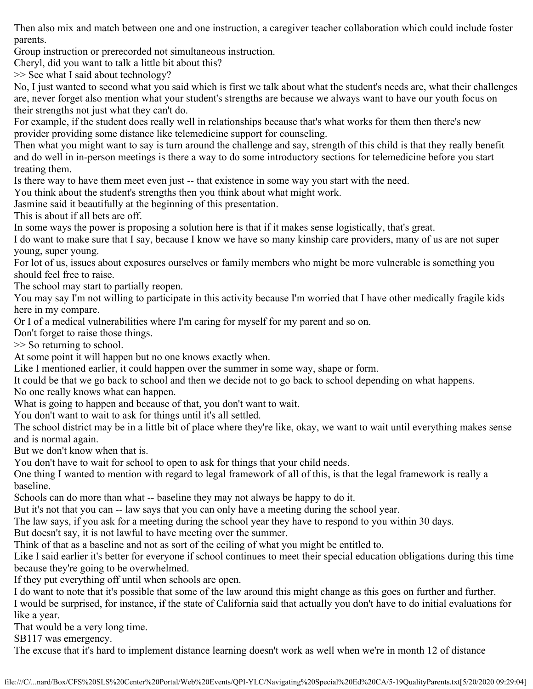Then also mix and match between one and one instruction, a caregiver teacher collaboration which could include foster parents.

Group instruction or prerecorded not simultaneous instruction.

Cheryl, did you want to talk a little bit about this?

>> See what I said about technology?

No, I just wanted to second what you said which is first we talk about what the student's needs are, what their challenges are, never forget also mention what your student's strengths are because we always want to have our youth focus on their strengths not just what they can't do.

For example, if the student does really well in relationships because that's what works for them then there's new provider providing some distance like telemedicine support for counseling.

Then what you might want to say is turn around the challenge and say, strength of this child is that they really benefit and do well in in-person meetings is there a way to do some introductory sections for telemedicine before you start treating them.

Is there way to have them meet even just -- that existence in some way you start with the need.

You think about the student's strengths then you think about what might work.

Jasmine said it beautifully at the beginning of this presentation.

This is about if all bets are off.

In some ways the power is proposing a solution here is that if it makes sense logistically, that's great.

I do want to make sure that I say, because I know we have so many kinship care providers, many of us are not super young, super young.

For lot of us, issues about exposures ourselves or family members who might be more vulnerable is something you should feel free to raise.

The school may start to partially reopen.

You may say I'm not willing to participate in this activity because I'm worried that I have other medically fragile kids here in my compare.

Or I of a medical vulnerabilities where I'm caring for myself for my parent and so on.

Don't forget to raise those things.

>> So returning to school.

At some point it will happen but no one knows exactly when.

Like I mentioned earlier, it could happen over the summer in some way, shape or form.

It could be that we go back to school and then we decide not to go back to school depending on what happens.

No one really knows what can happen.

What is going to happen and because of that, you don't want to wait.

You don't want to wait to ask for things until it's all settled.

The school district may be in a little bit of place where they're like, okay, we want to wait until everything makes sense and is normal again.

But we don't know when that is.

You don't have to wait for school to open to ask for things that your child needs.

One thing I wanted to mention with regard to legal framework of all of this, is that the legal framework is really a baseline.

Schools can do more than what -- baseline they may not always be happy to do it.

But it's not that you can -- law says that you can only have a meeting during the school year.

The law says, if you ask for a meeting during the school year they have to respond to you within 30 days.

But doesn't say, it is not lawful to have meeting over the summer.

Think of that as a baseline and not as sort of the ceiling of what you might be entitled to.

Like I said earlier it's better for everyone if school continues to meet their special education obligations during this time because they're going to be overwhelmed.

If they put everything off until when schools are open.

I do want to note that it's possible that some of the law around this might change as this goes on further and further.

I would be surprised, for instance, if the state of California said that actually you don't have to do initial evaluations for like a year.

That would be a very long time.

SB117 was emergency.

The excuse that it's hard to implement distance learning doesn't work as well when we're in month 12 of distance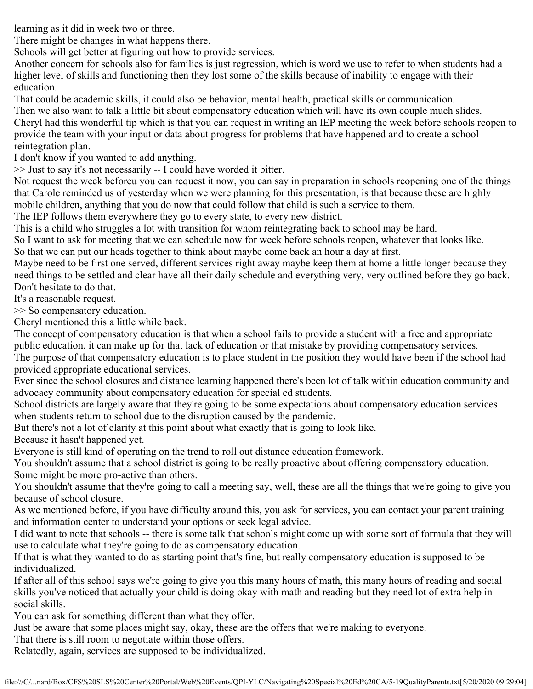learning as it did in week two or three.

There might be changes in what happens there.

Schools will get better at figuring out how to provide services.

Another concern for schools also for families is just regression, which is word we use to refer to when students had a higher level of skills and functioning then they lost some of the skills because of inability to engage with their education.

That could be academic skills, it could also be behavior, mental health, practical skills or communication.

Then we also want to talk a little bit about compensatory education which will have its own couple much slides. Cheryl had this wonderful tip which is that you can request in writing an IEP meeting the week before schools reopen to provide the team with your input or data about progress for problems that have happened and to create a school reintegration plan.

I don't know if you wanted to add anything.

>> Just to say it's not necessarily -- I could have worded it bitter.

Not request the week beforeu you can request it now, you can say in preparation in schools reopening one of the things that Carole reminded us of yesterday when we were planning for this presentation, is that because these are highly mobile children, anything that you do now that could follow that child is such a service to them.

The IEP follows them everywhere they go to every state, to every new district.

This is a child who struggles a lot with transition for whom reintegrating back to school may be hard.

So I want to ask for meeting that we can schedule now for week before schools reopen, whatever that looks like. So that we can put our heads together to think about maybe come back an hour a day at first.

Maybe need to be first one served, different services right away maybe keep them at home a little longer because they need things to be settled and clear have all their daily schedule and everything very, very outlined before they go back. Don't hesitate to do that.

It's a reasonable request.

>> So compensatory education.

Cheryl mentioned this a little while back.

The concept of compensatory education is that when a school fails to provide a student with a free and appropriate public education, it can make up for that lack of education or that mistake by providing compensatory services.

The purpose of that compensatory education is to place student in the position they would have been if the school had provided appropriate educational services.

Ever since the school closures and distance learning happened there's been lot of talk within education community and advocacy community about compensatory education for special ed students.

School districts are largely aware that they're going to be some expectations about compensatory education services when students return to school due to the disruption caused by the pandemic.

But there's not a lot of clarity at this point about what exactly that is going to look like.

Because it hasn't happened yet.

Everyone is still kind of operating on the trend to roll out distance education framework.

You shouldn't assume that a school district is going to be really proactive about offering compensatory education. Some might be more pro-active than others.

You shouldn't assume that they're going to call a meeting say, well, these are all the things that we're going to give you because of school closure.

As we mentioned before, if you have difficulty around this, you ask for services, you can contact your parent training and information center to understand your options or seek legal advice.

I did want to note that schools -- there is some talk that schools might come up with some sort of formula that they will use to calculate what they're going to do as compensatory education.

If that is what they wanted to do as starting point that's fine, but really compensatory education is supposed to be individualized.

If after all of this school says we're going to give you this many hours of math, this many hours of reading and social skills you've noticed that actually your child is doing okay with math and reading but they need lot of extra help in social skills.

You can ask for something different than what they offer.

Just be aware that some places might say, okay, these are the offers that we're making to everyone.

That there is still room to negotiate within those offers.

Relatedly, again, services are supposed to be individualized.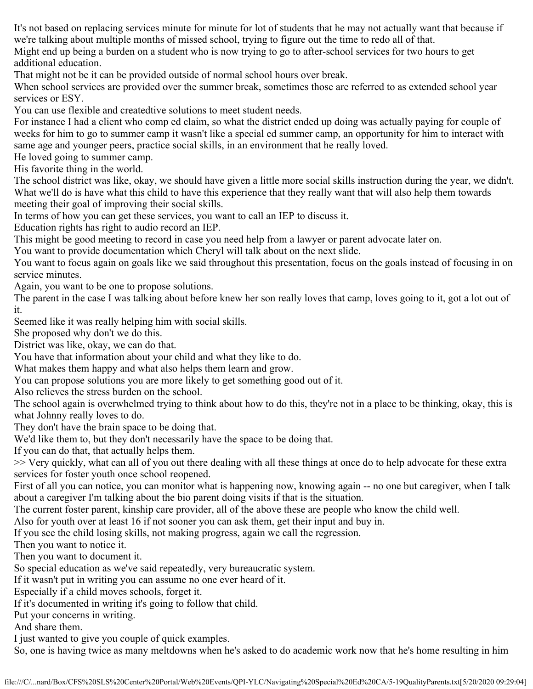It's not based on replacing services minute for minute for lot of students that he may not actually want that because if we're talking about multiple months of missed school, trying to figure out the time to redo all of that. Might end up being a burden on a student who is now trying to go to after-school services for two hours to get

additional education.

That might not be it can be provided outside of normal school hours over break.

When school services are provided over the summer break, sometimes those are referred to as extended school year services or ESY.

You can use flexible and createdtive solutions to meet student needs.

For instance I had a client who comp ed claim, so what the district ended up doing was actually paying for couple of weeks for him to go to summer camp it wasn't like a special ed summer camp, an opportunity for him to interact with same age and younger peers, practice social skills, in an environment that he really loved.

He loved going to summer camp.

His favorite thing in the world.

The school district was like, okay, we should have given a little more social skills instruction during the year, we didn't. What we'll do is have what this child to have this experience that they really want that will also help them towards meeting their goal of improving their social skills.

In terms of how you can get these services, you want to call an IEP to discuss it.

Education rights has right to audio record an IEP.

This might be good meeting to record in case you need help from a lawyer or parent advocate later on.

You want to provide documentation which Cheryl will talk about on the next slide.

You want to focus again on goals like we said throughout this presentation, focus on the goals instead of focusing in on service minutes.

Again, you want to be one to propose solutions.

The parent in the case I was talking about before knew her son really loves that camp, loves going to it, got a lot out of it.

Seemed like it was really helping him with social skills.

She proposed why don't we do this.

District was like, okay, we can do that.

You have that information about your child and what they like to do.

What makes them happy and what also helps them learn and grow.

You can propose solutions you are more likely to get something good out of it.

Also relieves the stress burden on the school.

The school again is overwhelmed trying to think about how to do this, they're not in a place to be thinking, okay, this is what Johnny really loves to do.

They don't have the brain space to be doing that.

We'd like them to, but they don't necessarily have the space to be doing that.

If you can do that, that actually helps them.

>> Very quickly, what can all of you out there dealing with all these things at once do to help advocate for these extra services for foster youth once school reopened.

First of all you can notice, you can monitor what is happening now, knowing again -- no one but caregiver, when I talk about a caregiver I'm talking about the bio parent doing visits if that is the situation.

The current foster parent, kinship care provider, all of the above these are people who know the child well.

Also for youth over at least 16 if not sooner you can ask them, get their input and buy in.

If you see the child losing skills, not making progress, again we call the regression.

Then you want to notice it.

Then you want to document it.

So special education as we've said repeatedly, very bureaucratic system.

If it wasn't put in writing you can assume no one ever heard of it.

Especially if a child moves schools, forget it.

If it's documented in writing it's going to follow that child.

Put your concerns in writing.

And share them.

I just wanted to give you couple of quick examples.

So, one is having twice as many meltdowns when he's asked to do academic work now that he's home resulting in him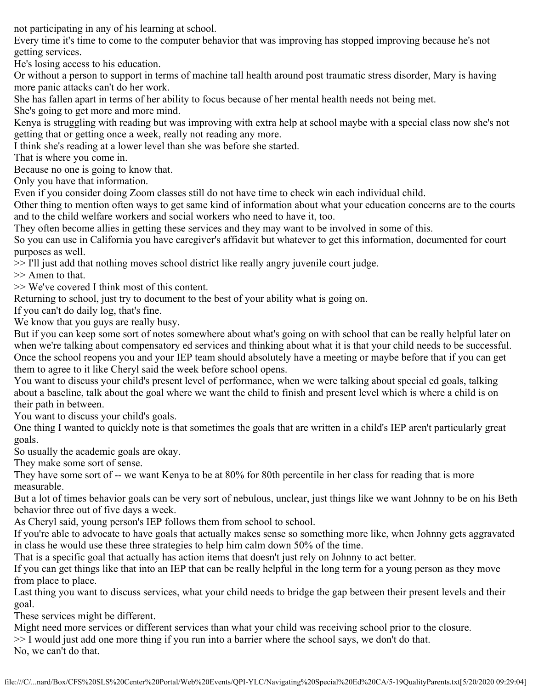not participating in any of his learning at school.

Every time it's time to come to the computer behavior that was improving has stopped improving because he's not getting services.

He's losing access to his education.

Or without a person to support in terms of machine tall health around post traumatic stress disorder, Mary is having more panic attacks can't do her work.

She has fallen apart in terms of her ability to focus because of her mental health needs not being met.

She's going to get more and more mind.

Kenya is struggling with reading but was improving with extra help at school maybe with a special class now she's not getting that or getting once a week, really not reading any more.

I think she's reading at a lower level than she was before she started.

That is where you come in.

Because no one is going to know that.

Only you have that information.

Even if you consider doing Zoom classes still do not have time to check win each individual child.

Other thing to mention often ways to get same kind of information about what your education concerns are to the courts and to the child welfare workers and social workers who need to have it, too.

They often become allies in getting these services and they may want to be involved in some of this.

So you can use in California you have caregiver's affidavit but whatever to get this information, documented for court purposes as well.

>> I'll just add that nothing moves school district like really angry juvenile court judge.

>> Amen to that.

>> We've covered I think most of this content.

Returning to school, just try to document to the best of your ability what is going on.

If you can't do daily log, that's fine.

We know that you guys are really busy.

But if you can keep some sort of notes somewhere about what's going on with school that can be really helpful later on when we're talking about compensatory ed services and thinking about what it is that your child needs to be successful. Once the school reopens you and your IEP team should absolutely have a meeting or maybe before that if you can get them to agree to it like Cheryl said the week before school opens.

You want to discuss your child's present level of performance, when we were talking about special ed goals, talking about a baseline, talk about the goal where we want the child to finish and present level which is where a child is on their path in between.

You want to discuss your child's goals.

One thing I wanted to quickly note is that sometimes the goals that are written in a child's IEP aren't particularly great goals.

So usually the academic goals are okay.

They make some sort of sense.

They have some sort of -- we want Kenya to be at 80% for 80th percentile in her class for reading that is more measurable.

But a lot of times behavior goals can be very sort of nebulous, unclear, just things like we want Johnny to be on his Beth behavior three out of five days a week.

As Cheryl said, young person's IEP follows them from school to school.

If you're able to advocate to have goals that actually makes sense so something more like, when Johnny gets aggravated in class he would use these three strategies to help him calm down 50% of the time.

That is a specific goal that actually has action items that doesn't just rely on Johnny to act better.

If you can get things like that into an IEP that can be really helpful in the long term for a young person as they move from place to place.

Last thing you want to discuss services, what your child needs to bridge the gap between their present levels and their goal.

These services might be different.

Might need more services or different services than what your child was receiving school prior to the closure.

>> I would just add one more thing if you run into a barrier where the school says, we don't do that.

No, we can't do that.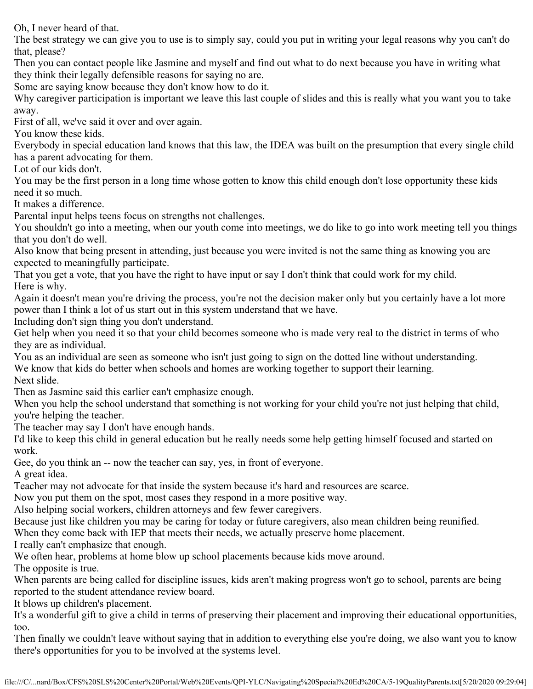Oh, I never heard of that.

The best strategy we can give you to use is to simply say, could you put in writing your legal reasons why you can't do that, please?

Then you can contact people like Jasmine and myself and find out what to do next because you have in writing what they think their legally defensible reasons for saying no are.

Some are saying know because they don't know how to do it.

Why caregiver participation is important we leave this last couple of slides and this is really what you want you to take away.

First of all, we've said it over and over again.

You know these kids.

Everybody in special education land knows that this law, the IDEA was built on the presumption that every single child has a parent advocating for them.

Lot of our kids don't.

You may be the first person in a long time whose gotten to know this child enough don't lose opportunity these kids need it so much.

It makes a difference.

Parental input helps teens focus on strengths not challenges.

You shouldn't go into a meeting, when our youth come into meetings, we do like to go into work meeting tell you things that you don't do well.

Also know that being present in attending, just because you were invited is not the same thing as knowing you are expected to meaningfully participate.

That you get a vote, that you have the right to have input or say I don't think that could work for my child. Here is why.

Again it doesn't mean you're driving the process, you're not the decision maker only but you certainly have a lot more power than I think a lot of us start out in this system understand that we have.

Including don't sign thing you don't understand.

Get help when you need it so that your child becomes someone who is made very real to the district in terms of who they are as individual.

You as an individual are seen as someone who isn't just going to sign on the dotted line without understanding. We know that kids do better when schools and homes are working together to support their learning. Next slide.

Then as Jasmine said this earlier can't emphasize enough.

When you help the school understand that something is not working for your child you're not just helping that child, you're helping the teacher.

The teacher may say I don't have enough hands.

I'd like to keep this child in general education but he really needs some help getting himself focused and started on work.

Gee, do you think an -- now the teacher can say, yes, in front of everyone.

A great idea.

Teacher may not advocate for that inside the system because it's hard and resources are scarce.

Now you put them on the spot, most cases they respond in a more positive way.

Also helping social workers, children attorneys and few fewer caregivers.

Because just like children you may be caring for today or future caregivers, also mean children being reunified.

When they come back with IEP that meets their needs, we actually preserve home placement.

I really can't emphasize that enough.

We often hear, problems at home blow up school placements because kids move around. The opposite is true.

When parents are being called for discipline issues, kids aren't making progress won't go to school, parents are being reported to the student attendance review board.

It blows up children's placement.

It's a wonderful gift to give a child in terms of preserving their placement and improving their educational opportunities, too.

Then finally we couldn't leave without saying that in addition to everything else you're doing, we also want you to know there's opportunities for you to be involved at the systems level.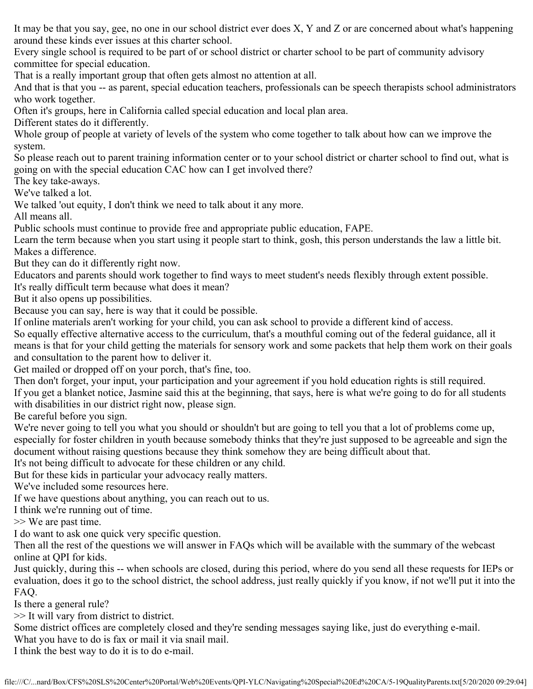It may be that you say, gee, no one in our school district ever does X, Y and Z or are concerned about what's happening around these kinds ever issues at this charter school.

Every single school is required to be part of or school district or charter school to be part of community advisory committee for special education.

That is a really important group that often gets almost no attention at all.

And that is that you -- as parent, special education teachers, professionals can be speech therapists school administrators who work together.

Often it's groups, here in California called special education and local plan area.

Different states do it differently.

Whole group of people at variety of levels of the system who come together to talk about how can we improve the system.

So please reach out to parent training information center or to your school district or charter school to find out, what is going on with the special education CAC how can I get involved there?

The key take-aways.

We've talked a lot.

We talked 'out equity, I don't think we need to talk about it any more.

All means all.

Public schools must continue to provide free and appropriate public education, FAPE.

Learn the term because when you start using it people start to think, gosh, this person understands the law a little bit. Makes a difference.

But they can do it differently right now.

Educators and parents should work together to find ways to meet student's needs flexibly through extent possible.

It's really difficult term because what does it mean?

But it also opens up possibilities.

Because you can say, here is way that it could be possible.

If online materials aren't working for your child, you can ask school to provide a different kind of access.

So equally effective alternative access to the curriculum, that's a mouthful coming out of the federal guidance, all it means is that for your child getting the materials for sensory work and some packets that help them work on their goals and consultation to the parent how to deliver it.

Get mailed or dropped off on your porch, that's fine, too.

Then don't forget, your input, your participation and your agreement if you hold education rights is still required.

If you get a blanket notice, Jasmine said this at the beginning, that says, here is what we're going to do for all students with disabilities in our district right now, please sign.

Be careful before you sign.

We're never going to tell you what you should or shouldn't but are going to tell you that a lot of problems come up, especially for foster children in youth because somebody thinks that they're just supposed to be agreeable and sign the document without raising questions because they think somehow they are being difficult about that.

It's not being difficult to advocate for these children or any child.

But for these kids in particular your advocacy really matters.

We've included some resources here.

If we have questions about anything, you can reach out to us.

I think we're running out of time.

>> We are past time.

I do want to ask one quick very specific question.

Then all the rest of the questions we will answer in FAQs which will be available with the summary of the webcast online at QPI for kids.

Just quickly, during this -- when schools are closed, during this period, where do you send all these requests for IEPs or evaluation, does it go to the school district, the school address, just really quickly if you know, if not we'll put it into the FAQ.

Is there a general rule?

>> It will vary from district to district.

Some district offices are completely closed and they're sending messages saying like, just do everything e-mail.

What you have to do is fax or mail it via snail mail.

I think the best way to do it is to do e-mail.